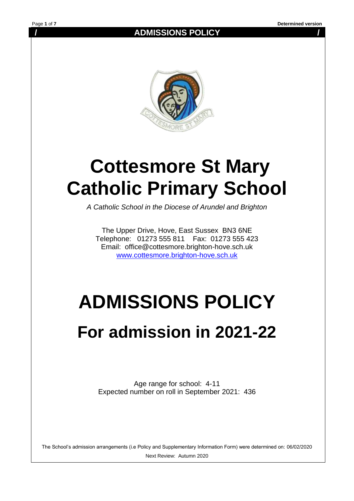**/ ADMISSIONS POLICY /**



# **Cottesmore St Mary Catholic Primary School**

*A Catholic School in the Diocese of Arundel and Brighton*

The Upper Drive, Hove, East Sussex BN3 6NE Telephone: 01273 555 811 Fax: 01273 555 423 Email: office@cottesmore.brighton-hove.sch.uk [www.cottesmore.brighton-hove.sch.uk](http://www.cottesmore.brighton-hove.sch.uk/)

# **ADMISSIONS POLICY For admission in 2021-22**

Age range for school: 4-11 Expected number on roll in September 2021: 436

The School's admission arrangements (i.e Policy and Supplementary Information Form) were determined on: 06/02/2020 Next Review: Autumn 2020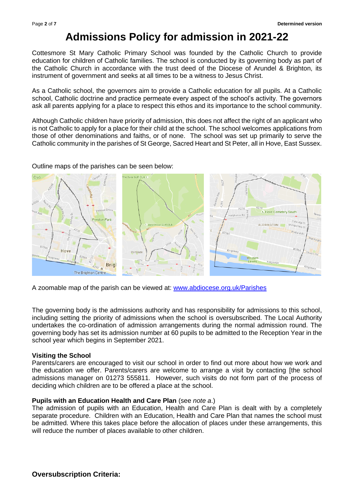## **Admissions Policy for admission in 2021-22**

Cottesmore St Mary Catholic Primary School was founded by the Catholic Church to provide education for children of Catholic families. The school is conducted by its governing body as part of the Catholic Church in accordance with the trust deed of the Diocese of Arundel & Brighton, its instrument of government and seeks at all times to be a witness to Jesus Christ.

As a Catholic school, the governors aim to provide a Catholic education for all pupils. At a Catholic school, Catholic doctrine and practice permeate every aspect of the school's activity. The governors ask all parents applying for a place to respect this ethos and its importance to the school community.

Although Catholic children have priority of admission, this does not affect the right of an applicant who is not Catholic to apply for a place for their child at the school. The school welcomes applications from those of other denominations and faiths, or of none. The school was set up primarily to serve the Catholic community in the parishes of St George, Sacred Heart and St Peter, all in Hove, East Sussex.

Outline maps of the parishes can be seen below:



A zoomable map of the parish can be viewed at: [www.abdiocese.org.uk/Parishes](http://www.abdiocese.org.uk/Parishes)

The governing body is the admissions authority and has responsibility for admissions to this school, including setting the priority of admissions when the school is oversubscribed. The Local Authority undertakes the co-ordination of admission arrangements during the normal admission round. The governing body has set its admission number at 60 pupils to be admitted to the Reception Year in the school year which begins in September 2021.

#### **Visiting the School**

Parents/carers are encouraged to visit our school in order to find out more about how we work and the education we offer. Parents/carers are welcome to arrange a visit by contacting [the school admissions manager on 01273 555811. However, such visits do not form part of the process of deciding which children are to be offered a place at the school.

#### **Pupils with an Education Health and Care Plan** (see *note a*.)

The admission of pupils with an Education, Health and Care Plan is dealt with by a completely separate procedure. Children with an Education, Health and Care Plan that names the school must be admitted. Where this takes place before the allocation of places under these arrangements, this will reduce the number of places available to other children.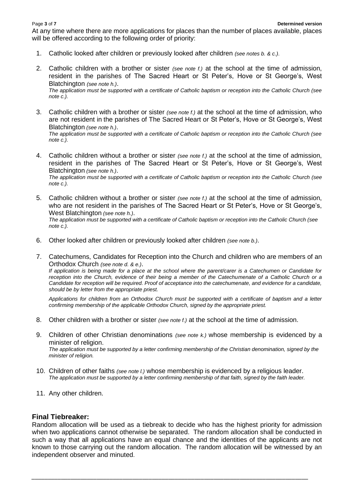At any time where there are more applications for places than the number of places available, places will be offered according to the following order of priority:

- 1. Catholic looked after children or previously looked after children *(see notes b. & c.)*.
- 2. Catholic children with a brother or sister *(see note f.)* at the school at the time of admission, resident in the parishes of The Sacred Heart or St Peter's, Hove or St George's, West Blatchington *(see note h.)*.

*The application must be supported with a certificate of Catholic baptism or reception into the Catholic Church (see note c.).* 

- 3. Catholic children with a brother or sister *(see note f.)* at the school at the time of admission, who are not resident in the parishes of The Sacred Heart or St Peter's, Hove or St George's, West Blatchington *(see note h.)*. *The application must be supported with a certificate of Catholic baptism or reception into the Catholic Church (see note c.).*
- 4. Catholic children without a brother or sister *(see note f.)* at the school at the time of admission, resident in the parishes of The Sacred Heart or St Peter's, Hove or St George's, West Blatchington *(see note h.)*. *The application must be supported with a certificate of Catholic baptism or reception into the Catholic Church (see note c.).*
- 5. Catholic children without a brother or sister *(see note f.)* at the school at the time of admission, who are not resident in the parishes of The Sacred Heart or St Peter's, Hove or St George's, West Blatchington *(see note h.)*. *The application must be supported with a certificate of Catholic baptism or reception into the Catholic Church (see note c.).*
- 6. Other looked after children or previously looked after children *(see note b.)*.
- 7. Catechumens, Candidates for Reception into the Church and children who are members of an Orthodox Church *(see note d. & e.)*.

*If application is being made for a place at the school where the parent/carer is a Catechumen or Candidate for reception into the Church, evidence of their being a member of the Catechumenate of a Catholic Church or a Candidate for reception will be required. Proof of acceptance into the catechumenate, and evidence for a candidate, should be by letter from the appropriate priest.* 

*Applications for children from an Orthodox Church must be supported with a certificate of baptism and a letter confirming membership of the applicable Orthodox Church, signed by the appropriate priest.*

- 8. Other children with a brother or sister *(see note f.)* at the school at the time of admission.
- 9. Children of other Christian denominations *(see note k.)* whose membership is evidenced by a minister of religion. *The application must be supported by a letter confirming membership of the Christian denomination, signed by the minister of religion.*
- 10. Children of other faiths *(see note l.)* whose membership is evidenced by a religious leader. *The application must be supported by a letter confirming membership of that faith, signed by the faith leader.*
- 11. Any other children.

#### **Final Tiebreaker:**

Random allocation will be used as a tiebreak to decide who has the highest priority for admission when two applications cannot otherwise be separated. The random allocation shall be conducted in such a way that all applications have an equal chance and the identities of the applicants are not known to those carrying out the random allocation. The random allocation will be witnessed by an independent observer and minuted.

*\_\_\_\_\_\_\_\_\_\_\_\_\_\_\_\_\_\_\_\_\_\_\_\_\_\_\_\_\_\_\_\_\_\_\_\_\_\_\_\_\_\_\_\_\_\_\_\_\_\_\_\_\_\_\_\_\_\_\_\_\_\_\_\_\_\_\_\_\_\_\_\_\_\_\_\_\_\_\_\_\_\_\_\_\_*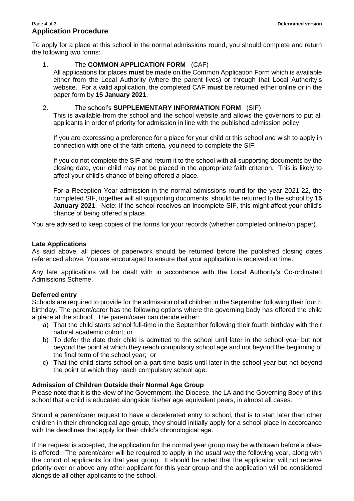#### Page **4** of **7 Determined version Application Procedure**

To apply for a place at this school in the normal admissions round, you should complete and return the following two forms:

### 1. The **COMMON APPLICATION FORM** (CAF)

All applications for places **must** be made on the Common Application Form which is available either from the Local Authority (where the parent lives) or through that Local Authority's website. For a valid application, the completed CAF **must** be returned either online or in the paper form by **15 January 2021**.

### 2. The school's **SUPPLEMENTARY INFORMATION FORM** (SIF)

This is available from the school and the school website and allows the governors to put all applicants in order of priority for admission in line with the published admission policy.

If you are expressing a preference for a place for your child at this school and wish to apply in connection with one of the faith criteria, you need to complete the SIF.

If you do not complete the SIF and return it to the school with all supporting documents by the closing date, your child may not be placed in the appropriate faith criterion. This is likely to affect your child's chance of being offered a place.

For a Reception Year admission in the normal admissions round for the year 2021-22, the completed SIF, together will all supporting documents, should be returned to the school by **15 January 2021**. Note: If the school receives an incomplete SIF, this might affect your child's chance of being offered a place.

You are advised to keep copies of the forms for your records (whether completed online/on paper).

#### **Late Applications**

As said above, all pieces of paperwork should be returned before the published closing dates referenced above. You are encouraged to ensure that your application is received on time.

Any late applications will be dealt with in accordance with the Local Authority's Co-ordinated Admissions Scheme.

#### **Deferred entry**

Schools are required to provide for the admission of all children in the September following their fourth birthday. The parent/carer has the following options where the governing body has offered the child a place at the school. The parent/carer can decide either:

- a) That the child starts school full-time in the September following their fourth birthday with their natural academic cohort; or
- b) To defer the date their child is admitted to the school until later in the school year but not beyond the point at which they reach compulsory school age and not beyond the beginning of the final term of the school year; or
- c) That the child starts school on a part-time basis until later in the school year but not beyond the point at which they reach compulsory school age.

#### **Admission of Children Outside their Normal Age Group**

Please note that it is the view of the Government, the Diocese, the LA and the Governing Body of this school that a child is educated alongside his/her age equivalent peers, in almost all cases.

Should a parent/carer request to have a decelerated entry to school, that is to start later than other children in their chronological age group, they should initially apply for a school place in accordance with the deadlines that apply for their child's chronological age.

If the request is accepted, the application for the normal year group may be withdrawn before a place is offered. The parent/carer will be required to apply in the usual way the following year, along with the cohort of applicants for that year group. It should be noted that the application will not receive priority over or above any other applicant for this year group and the application will be considered alongside all other applicants to the school.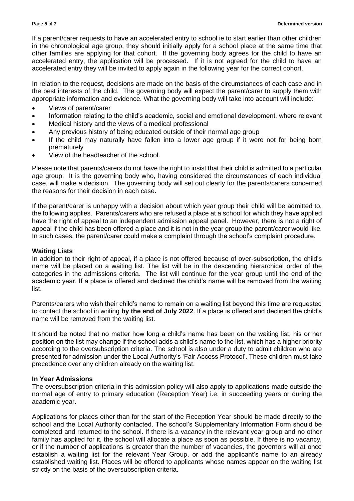If a parent/carer requests to have an accelerated entry to school ie to start earlier than other children in the chronological age group, they should initially apply for a school place at the same time that other families are applying for that cohort. If the governing body agrees for the child to have an accelerated entry, the application will be processed. If it is not agreed for the child to have an accelerated entry they will be invited to apply again in the following year for the correct cohort.

In relation to the request, decisions are made on the basis of the circumstances of each case and in the best interests of the child. The governing body will expect the parent/carer to supply them with appropriate information and evidence. What the governing body will take into account will include:

- Views of parent/carer
- Information relating to the child's academic, social and emotional development, where relevant
- Medical history and the views of a medical professional
- Any previous history of being educated outside of their normal age group
- If the child may naturally have fallen into a lower age group if it were not for being born prematurely
- View of the headteacher of the school.

Please note that parents/carers do not have the right to insist that their child is admitted to a particular age group. It is the governing body who, having considered the circumstances of each individual case, will make a decision. The governing body will set out clearly for the parents/carers concerned the reasons for their decision in each case.

If the parent/carer is unhappy with a decision about which year group their child will be admitted to, the following applies. Parents/carers who are refused a place at a school for which they have applied have the right of appeal to an independent admission appeal panel. However, there is not a right of appeal if the child has been offered a place and it is not in the year group the parent/carer would like. In such cases, the parent/carer could make a complaint through the school's complaint procedure.

#### **Waiting Lists**

In addition to their right of appeal, if a place is not offered because of over-subscription, the child's name will be placed on a waiting list. The list will be in the descending hierarchical order of the categories in the admissions criteria. The list will continue for the year group until the end of the academic year. If a place is offered and declined the child's name will be removed from the waiting list.

Parents/carers who wish their child's name to remain on a waiting list beyond this time are requested to contact the school in writing **by the end of July 2022**. If a place is offered and declined the child's name will be removed from the waiting list.

It should be noted that no matter how long a child's name has been on the waiting list, his or her position on the list may change if the school adds a child's name to the list, which has a higher priority according to the oversubscription criteria. The school is also under a duty to admit children who are presented for admission under the Local Authority's 'Fair Access Protocol'. These children must take precedence over any children already on the waiting list.

#### **In Year Admissions**

The oversubscription criteria in this admission policy will also apply to applications made outside the normal age of entry to primary education (Reception Year) i.e. in succeeding years or during the academic year.

Applications for places other than for the start of the Reception Year should be made directly to the school and the Local Authority contacted. The school's Supplementary Information Form should be completed and returned to the school. If there is a vacancy in the relevant year group and no other family has applied for it, the school will allocate a place as soon as possible. If there is no vacancy, or if the number of applications is greater than the number of vacancies, the governors will at once establish a waiting list for the relevant Year Group, or add the applicant's name to an already established waiting list. Places will be offered to applicants whose names appear on the waiting list strictly on the basis of the oversubscription criteria.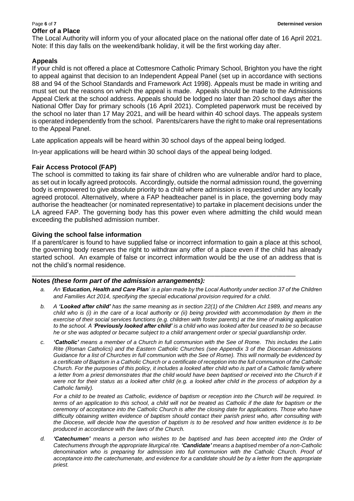## **Offer of a Place**

The Local Authority will inform you of your allocated place on the national offer date of 16 April 2021. Note: If this day falls on the weekend/bank holiday, it will be the first working day after.

#### **Appeals**

If your child is not offered a place at Cottesmore Catholic Primary School, Brighton you have the right to appeal against that decision to an Independent Appeal Panel (set up in accordance with sections 88 and 94 of the School Standards and Framework Act 1998). Appeals must be made in writing and must set out the reasons on which the appeal is made. Appeals should be made to the Admissions Appeal Clerk at the school address. Appeals should be lodged no later than 20 school days after the National Offer Day for primary schools (16 April 2021). Completed paperwork must be received by the school no later than 17 May 2021, and will be heard within 40 school days. The appeals system is operated independently from the school. Parents/carers have the right to make oral representations to the Appeal Panel.

Late application appeals will be heard within 30 school days of the appeal being lodged.

In-year applications will be heard within 30 school days of the appeal being lodged.

#### **Fair Access Protocol (FAP)**

The school is committed to taking its fair share of children who are vulnerable and/or hard to place, as set out in locally agreed protocols. Accordingly, outside the normal admission round, the governing body is empowered to give absolute priority to a child where admission is requested under any locally agreed protocol. Alternatively, where a FAP headteacher panel is in place, the governing body may authorise the headteacher (or nominated representative) to partake in placement decisions under the LA agreed FAP. The governing body has this power even where admitting the child would mean exceeding the published admission number.

#### **Giving the school false information**

If a parent/carer is found to have supplied false or incorrect information to gain a place at this school, the governing body reserves the right to withdraw any offer of a place even if the child has already started school. An example of false or incorrect information would be the use of an address that is not the child's normal residence.

\_\_\_\_\_\_\_\_\_\_\_\_\_\_\_\_\_\_\_\_\_\_\_\_\_\_\_\_\_\_\_\_\_\_\_\_\_\_\_\_\_\_\_\_\_\_\_\_\_\_\_\_\_\_\_\_\_\_\_\_\_\_\_\_\_\_\_\_\_\_\_\_\_\_\_\_\_\_\_\_\_

#### **Notes** *(these form part of the admission arrangements):*

- *a. An 'Education, Health and Care Plan' is a plan made by the Local Authority under section 37 of the Children and Families Act 2014, specifying the special educational provision required for a child.*
- *b. A 'Looked after child' has the same meaning as in section 22(1) of the Children Act 1989, and means any child who is (i) in the care of a local authority or (ii) being provided with accommodation by them in the exercise of their social services functions (e.g. children with foster parents) at the time of making application to the school. A 'Previously looked after child' is a child who was looked after but ceased to be so because he or she was adopted or became subject to a child arrangement order or special guardianship order.*
- *c. 'Catholic' means a member of a Church in full communion with the See of Rome. This includes the Latin Rite (Roman Catholics) and the Eastern Catholic Churches (see Appendix 3 of the Diocesan Admissions Guidance for a list of Churches in full communion with the See of Rome). This will normally be evidenced by a certificate of Baptism in a Catholic Church or a certificate of reception into the full communion of the Catholic Church. For the purposes of this policy, it includes a looked after child who is part of a Catholic family where a letter from a priest demonstrates that the child would have been baptised or received into the Church if it were not for their status as a looked after child (e.g. a looked after child in the process of adoption by a Catholic family).*

*For a child to be treated as Catholic, evidence of baptism or reception into the Church will be required. In terms of an application to this school, a child will not be treated as Catholic if the date for baptism or the ceremony of acceptance into the Catholic Church is after the closing date for applications. Those who have difficulty obtaining written evidence of baptism should contact their parish priest who, after consulting with the Diocese, will decide how the question of baptism is to be resolved and how written evidence is to be produced in accordance with the laws of the Church.* 

*d. 'Catechumen' means a person who wishes to be baptised and has been accepted into the Order of Catechumens through the appropriate liturgical rite. 'Candidate' means a baptised member of a non-Catholic*  denomination who is preparing for admission into full communion with the Catholic Church. Proof of *acceptance into the catechumenate, and evidence for a candidate should be by a letter from the appropriate priest.*